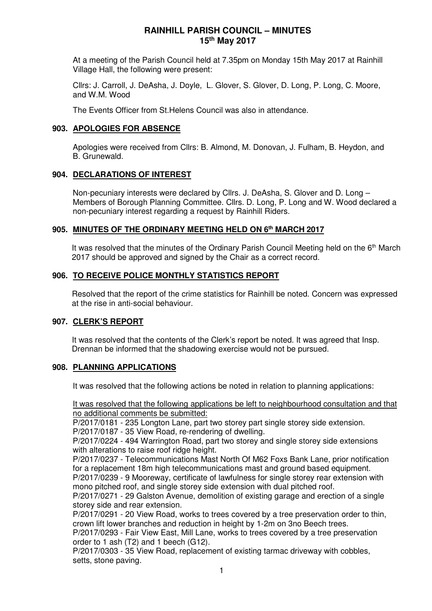At a meeting of the Parish Council held at 7.35pm on Monday 15th May 2017 at Rainhill Village Hall, the following were present:

Cllrs: J. Carroll, J. DeAsha, J. Doyle, L. Glover, S. Glover, D. Long, P. Long, C. Moore, and W.M. Wood

The Events Officer from St.Helens Council was also in attendance.

## **903. APOLOGIES FOR ABSENCE**

Apologies were received from Cllrs: B. Almond, M. Donovan, J. Fulham, B. Heydon, and B. Grunewald.

## **904. DECLARATIONS OF INTEREST**

Non-pecuniary interests were declared by Cllrs. J. DeAsha, S. Glover and D. Long – Members of Borough Planning Committee. Cllrs. D. Long, P. Long and W. Wood declared a non-pecuniary interest regarding a request by Rainhill Riders.

## **905. MINUTES OF THE ORDINARY MEETING HELD ON 6th MARCH 2017**

It was resolved that the minutes of the Ordinary Parish Council Meeting held on the 6<sup>th</sup> March 2017 should be approved and signed by the Chair as a correct record.

# **906. TO RECEIVE POLICE MONTHLY STATISTICS REPORT**

Resolved that the report of the crime statistics for Rainhill be noted. Concern was expressed at the rise in anti-social behaviour.

# **907. CLERK'S REPORT**

It was resolved that the contents of the Clerk's report be noted. It was agreed that Insp. Drennan be informed that the shadowing exercise would not be pursued.

# **908. PLANNING APPLICATIONS**

It was resolved that the following actions be noted in relation to planning applications:

It was resolved that the following applications be left to neighbourhood consultation and that no additional comments be submitted:

P/2017/0181 - 235 Longton Lane, part two storey part single storey side extension. P/2017/0187 - 35 View Road, re-rendering of dwelling.

P/2017/0224 - 494 Warrington Road, part two storey and single storey side extensions with alterations to raise roof ridge height.

P/2017/0237 - Telecommunications Mast North Of M62 Foxs Bank Lane, prior notification for a replacement 18m high telecommunications mast and ground based equipment. P/2017/0239 - 9 Mooreway, certificate of lawfulness for single storey rear extension with mono pitched roof, and single storey side extension with dual pitched roof.

P/2017/0271 - 29 Galston Avenue, demolition of existing garage and erection of a single storey side and rear extension.

P/2017/0291 - 20 View Road, works to trees covered by a tree preservation order to thin, crown lift lower branches and reduction in height by 1-2m on 3no Beech trees.

P/2017/0293 - Fair View East, Mill Lane, works to trees covered by a tree preservation order to 1 ash (T2) and 1 beech (G12).

P/2017/0303 - 35 View Road, replacement of existing tarmac driveway with cobbles, setts, stone paving.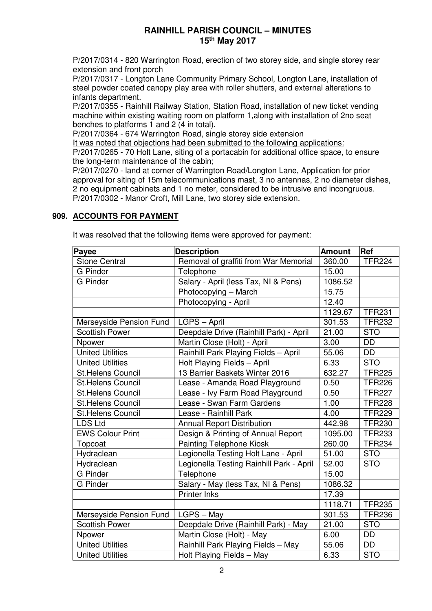P/2017/0314 - 820 Warrington Road, erection of two storey side, and single storey rear extension and front porch

P/2017/0317 - Longton Lane Community Primary School, Longton Lane, installation of steel powder coated canopy play area with roller shutters, and external alterations to infants department.

P/2017/0355 - Rainhill Railway Station, Station Road, installation of new ticket vending machine within existing waiting room on platform 1,along with installation of 2no seat benches to platforms 1 and 2 (4 in total).

P/2017/0364 - 674 Warrington Road, single storey side extension

It was noted that objections had been submitted to the following applications:

P/2017/0265 - 70 Holt Lane, siting of a portacabin for additional office space, to ensure the long-term maintenance of the cabin;

P/2017/0270 - land at corner of Warrington Road/Longton Lane, Application for prior approval for siting of 15m telecommunications mast, 3 no antennas, 2 no diameter dishes, 2 no equipment cabinets and 1 no meter, considered to be intrusive and incongruous. P/2017/0302 - Manor Croft, Mill Lane, two storey side extension.

## **909. ACCOUNTS FOR PAYMENT**

It was resolved that the following items were approved for payment:

| Payee                    | <b>Description</b>                       | <b>Amount</b> | Ref             |
|--------------------------|------------------------------------------|---------------|-----------------|
| <b>Stone Central</b>     | Removal of graffiti from War Memorial    | 360.00        | <b>TFR224</b>   |
| <b>G</b> Pinder          | Telephone                                | 15.00         |                 |
| <b>G</b> Pinder          | Salary - April (less Tax, NI & Pens)     | 1086.52       |                 |
|                          | Photocopying - March                     | 15.75         |                 |
|                          | Photocopying - April                     | 12.40         |                 |
|                          |                                          | 1129.67       | <b>TFR231</b>   |
| Merseyside Pension Fund  | LGPS - April                             | 301.53        | <b>TFR232</b>   |
| <b>Scottish Power</b>    | Deepdale Drive (Rainhill Park) - April   | 21.00         | <b>STO</b>      |
| Npower                   | Martin Close (Holt) - April              | 3.00          | $\overline{DD}$ |
| <b>United Utilities</b>  | Rainhill Park Playing Fields - April     | 55.06         | <b>DD</b>       |
| <b>United Utilities</b>  | Holt Playing Fields - April              | 6.33          | <b>STO</b>      |
| <b>St.Helens Council</b> | 13 Barrier Baskets Winter 2016           | 632.27        | <b>TFR225</b>   |
| <b>St.Helens Council</b> | Lease - Amanda Road Playground           | 0.50          | <b>TFR226</b>   |
| <b>St.Helens Council</b> | Lease - Ivy Farm Road Playground         | 0.50          | <b>TFR227</b>   |
| <b>St.Helens Council</b> | Lease - Swan Farm Gardens                | 1.00          | <b>TFR228</b>   |
| <b>St.Helens Council</b> | Lease - Rainhill Park                    | 4.00          | <b>TFR229</b>   |
| <b>LDS Ltd</b>           | <b>Annual Report Distribution</b>        | 442.98        | <b>TFR230</b>   |
| <b>EWS Colour Print</b>  | Design & Printing of Annual Report       | 1095.00       | <b>TFR233</b>   |
| Topcoat                  | <b>Painting Telephone Kiosk</b>          | 260.00        | <b>TFR234</b>   |
| Hydraclean               | Legionella Testing Holt Lane - April     | 51.00         | <b>STO</b>      |
| Hydraclean               | Legionella Testing Rainhill Park - April | 52.00         | <b>STO</b>      |
| <b>G</b> Pinder          | Telephone                                | 15.00         |                 |
| <b>G</b> Pinder          | Salary - May (less Tax, NI & Pens)       | 1086.32       |                 |
|                          | <b>Printer Inks</b>                      | 17.39         |                 |
|                          |                                          | 1118.71       | <b>TFR235</b>   |
| Merseyside Pension Fund  | LGPS - May                               | 301.53        | <b>TFR236</b>   |
| <b>Scottish Power</b>    | Deepdale Drive (Rainhill Park) - May     | 21.00         | <b>STO</b>      |
| Npower                   | Martin Close (Holt) - May                | 6.00          | <b>DD</b>       |
| United Utilities         | Rainhill Park Playing Fields - May       | 55.06         | <b>DD</b>       |
| <b>United Utilities</b>  | Holt Playing Fields - May                | 6.33          | <b>STO</b>      |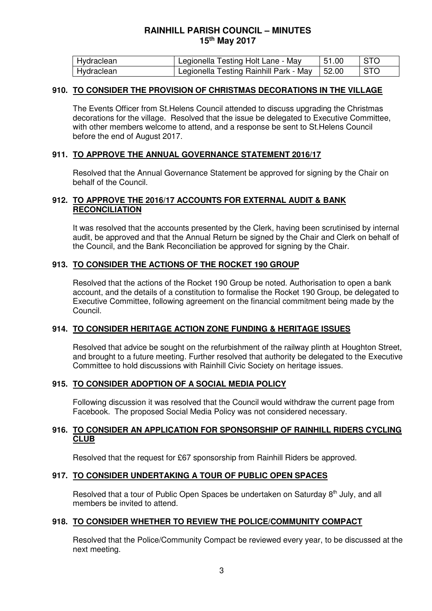| Hydraclean | Legionella Testing Holt Lane - May             | 151.00 | I STO |
|------------|------------------------------------------------|--------|-------|
| Hydraclean | Legionella Testing Rainhill Park - May   52.00 |        | I STO |

### **910. TO CONSIDER THE PROVISION OF CHRISTMAS DECORATIONS IN THE VILLAGE**

The Events Officer from St.Helens Council attended to discuss upgrading the Christmas decorations for the village. Resolved that the issue be delegated to Executive Committee, with other members welcome to attend, and a response be sent to St.Helens Council before the end of August 2017.

### **911. TO APPROVE THE ANNUAL GOVERNANCE STATEMENT 2016/17**

Resolved that the Annual Governance Statement be approved for signing by the Chair on behalf of the Council.

### **912. TO APPROVE THE 2016/17 ACCOUNTS FOR EXTERNAL AUDIT & BANK RECONCILIATION**

It was resolved that the accounts presented by the Clerk, having been scrutinised by internal audit, be approved and that the Annual Return be signed by the Chair and Clerk on behalf of the Council, and the Bank Reconciliation be approved for signing by the Chair.

### **913. TO CONSIDER THE ACTIONS OF THE ROCKET 190 GROUP**

Resolved that the actions of the Rocket 190 Group be noted. Authorisation to open a bank account, and the details of a constitution to formalise the Rocket 190 Group, be delegated to Executive Committee, following agreement on the financial commitment being made by the Council.

### **914. TO CONSIDER HERITAGE ACTION ZONE FUNDING & HERITAGE ISSUES**

Resolved that advice be sought on the refurbishment of the railway plinth at Houghton Street, and brought to a future meeting. Further resolved that authority be delegated to the Executive Committee to hold discussions with Rainhill Civic Society on heritage issues.

#### **915. TO CONSIDER ADOPTION OF A SOCIAL MEDIA POLICY**

Following discussion it was resolved that the Council would withdraw the current page from Facebook. The proposed Social Media Policy was not considered necessary.

#### **916. TO CONSIDER AN APPLICATION FOR SPONSORSHIP OF RAINHILL RIDERS CYCLING CLUB**

Resolved that the request for £67 sponsorship from Rainhill Riders be approved.

### **917. TO CONSIDER UNDERTAKING A TOUR OF PUBLIC OPEN SPACES**

Resolved that a tour of Public Open Spaces be undertaken on Saturday 8<sup>th</sup> July, and all members be invited to attend.

#### **918. TO CONSIDER WHETHER TO REVIEW THE POLICE/COMMUNITY COMPACT**

Resolved that the Police/Community Compact be reviewed every year, to be discussed at the next meeting.